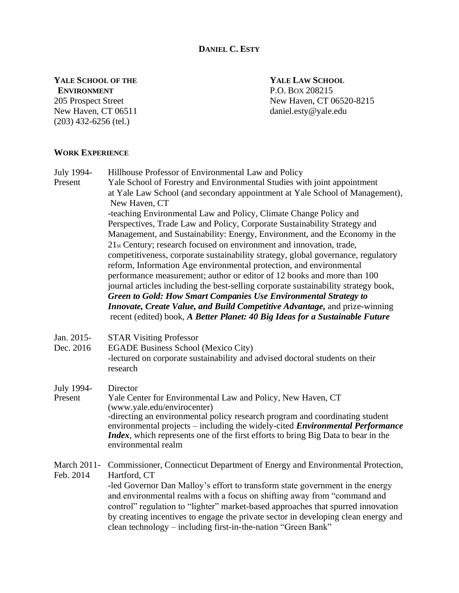# **DANIEL C. ESTY**

# **YALE SCHOOL OF THE YALE LAW SCHOOL ENVIRONMENT** P.O. BOX 208215

New Haven, CT 06511 daniel.esty@yale.edu (203) 432-6256 (tel.)

205 Prospect Street New Haven, CT 06520-8215

# **WORK EXPERIENCE**

July 1994- Hillhouse Professor of Environmental Law and Policy Present Yale School of Forestry and Environmental Studies with joint appointment at Yale Law School (and secondary appointment at Yale School of Management), New Haven, CT -teaching Environmental Law and Policy, Climate Change Policy and Perspectives, Trade Law and Policy, Corporate Sustainability Strategy and Management, and Sustainability: Energy, Environment, and the Economy in the 21st Century; research focused on environment and innovation, trade, competitiveness, corporate sustainability strategy, global governance, regulatory reform, Information Age environmental protection, and environmental performance measurement; author or editor of 12 books and more than 100 journal articles including the best-selling corporate sustainability strategy book, *Green to Gold: How Smart Companies Use Environmental Strategy to Innovate, Create Value, and Build Competitive Advantage, and prize-winning* recent (edited) book, *A Better Planet: 40 Big Ideas for a Sustainable Future*

- Jan. 2015- STAR Visiting Professor
- Dec. 2016 EGADE Business School (Mexico City) -lectured on corporate sustainability and advised doctoral students on their research
- July 1994- Director
- Present Yale Center for Environmental Law and Policy, New Haven, CT (www.yale.edu/envirocenter) -directing an environmental policy research program and coordinating student environmental projects – including the widely-cited *Environmental Performance Index*, which represents one of the first efforts to bring Big Data to bear in the environmental realm
- March 2011- Commissioner, Connecticut Department of Energy and Environmental Protection, Feb. 2014 Hartford, CT -led Governor Dan Malloy's effort to transform state government in the energy and environmental realms with a focus on shifting away from "command and control" regulation to "lighter" market-based approaches that spurred innovation by creating incentives to engage the private sector in developing clean energy and clean technology – including first-in-the-nation "Green Bank"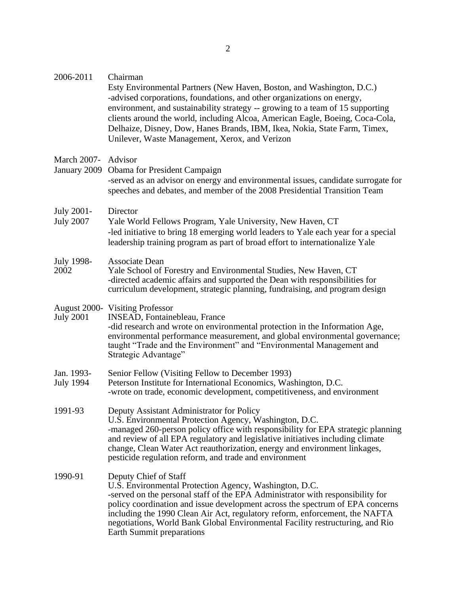| 2006-2011                             | Chairman<br>Esty Environmental Partners (New Haven, Boston, and Washington, D.C.)<br>-advised corporations, foundations, and other organizations on energy,<br>environment, and sustainability strategy -- growing to a team of 15 supporting<br>clients around the world, including Alcoa, American Eagle, Boeing, Coca-Cola,<br>Delhaize, Disney, Dow, Hanes Brands, IBM, Ikea, Nokia, State Farm, Timex,<br>Unilever, Waste Management, Xerox, and Verizon |
|---------------------------------------|---------------------------------------------------------------------------------------------------------------------------------------------------------------------------------------------------------------------------------------------------------------------------------------------------------------------------------------------------------------------------------------------------------------------------------------------------------------|
| <b>March 2007-</b><br>January 2009    | Advisor<br><b>Obama</b> for President Campaign<br>-served as an advisor on energy and environmental issues, candidate surrogate for<br>speeches and debates, and member of the 2008 Presidential Transition Team                                                                                                                                                                                                                                              |
| <b>July 2001-</b><br><b>July 2007</b> | Director<br>Yale World Fellows Program, Yale University, New Haven, CT<br>-led initiative to bring 18 emerging world leaders to Yale each year for a special<br>leadership training program as part of broad effort to internationalize Yale                                                                                                                                                                                                                  |
| July 1998-<br>2002                    | Associate Dean<br>Yale School of Forestry and Environmental Studies, New Haven, CT<br>-directed academic affairs and supported the Dean with responsibilities for<br>curriculum development, strategic planning, fundraising, and program design                                                                                                                                                                                                              |
| <b>July 2001</b>                      | <b>August 2000-</b> Visiting Professor<br>INSEAD, Fontainebleau, France<br>-did research and wrote on environmental protection in the Information Age,<br>environmental performance measurement, and global environmental governance;<br>taught "Trade and the Environment" and "Environmental Management and<br>Strategic Advantage"                                                                                                                         |
| Jan. 1993-<br><b>July 1994</b>        | Senior Fellow (Visiting Fellow to December 1993)<br>Peterson Institute for International Economics, Washington, D.C.<br>-wrote on trade, economic development, competitiveness, and environment                                                                                                                                                                                                                                                               |
| 1991-93                               | Deputy Assistant Administrator for Policy<br>U.S. Environmental Protection Agency, Washington, D.C.<br>-managed 260-person policy office with responsibility for EPA strategic planning<br>and review of all EPA regulatory and legislative initiatives including climate<br>change, Clean Water Act reauthorization, energy and environment linkages,<br>pesticide regulation reform, and trade and environment                                              |
| 1990-91                               | Deputy Chief of Staff<br>U.S. Environmental Protection Agency, Washington, D.C.<br>-served on the personal staff of the EPA Administrator with responsibility for<br>policy coordination and issue development across the spectrum of EPA concerns<br>including the 1990 Clean Air Act, regulatory reform, enforcement, the NAFTA<br>negotiations, World Bank Global Environmental Facility restructuring, and Rio<br>Earth Summit preparations               |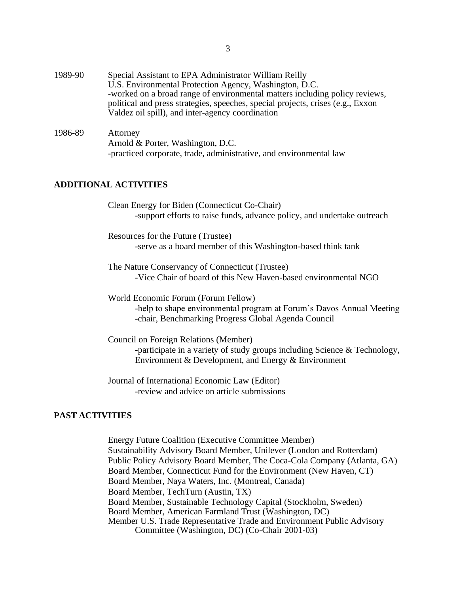- 1989-90 Special Assistant to EPA Administrator William Reilly U.S. Environmental Protection Agency, Washington, D.C. -worked on a broad range of environmental matters including policy reviews, political and press strategies, speeches, special projects, crises (e.g., Exxon Valdez oil spill), and inter-agency coordination
- 1986-89 Attorney Arnold & Porter, Washington, D.C. -practiced corporate, trade, administrative, and environmental law

# **ADDITIONAL ACTIVITIES**

Clean Energy for Biden (Connecticut Co-Chair) -support efforts to raise funds, advance policy, and undertake outreach

Resources for the Future (Trustee) -serve as a board member of this Washington-based think tank

The Nature Conservancy of Connecticut (Trustee) -Vice Chair of board of this New Haven-based environmental NGO

World Economic Forum (Forum Fellow) -help to shape environmental program at Forum's Davos Annual Meeting -chair, Benchmarking Progress Global Agenda Council

Council on Foreign Relations (Member) -participate in a variety of study groups including Science & Technology, Environment & Development, and Energy & Environment

Journal of International Economic Law (Editor) -review and advice on article submissions

### **PAST ACTIVITIES**

Energy Future Coalition (Executive Committee Member) Sustainability Advisory Board Member, Unilever (London and Rotterdam) Public Policy Advisory Board Member, The Coca-Cola Company (Atlanta, GA) Board Member, Connecticut Fund for the Environment (New Haven, CT) Board Member, Naya Waters, Inc. (Montreal, Canada) Board Member, TechTurn (Austin, TX) Board Member, Sustainable Technology Capital (Stockholm, Sweden) Board Member, American Farmland Trust (Washington, DC) Member U.S. Trade Representative Trade and Environment Public Advisory Committee (Washington, DC) (Co-Chair 2001-03)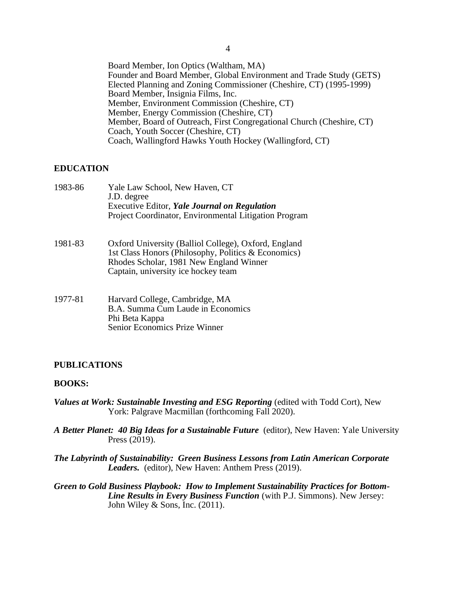Board Member, Ion Optics (Waltham, MA) Founder and Board Member, Global Environment and Trade Study (GETS) Elected Planning and Zoning Commissioner (Cheshire, CT) (1995-1999) Board Member, Insignia Films, Inc. Member, Environment Commission (Cheshire, CT) Member, Energy Commission (Cheshire, CT) Member, Board of Outreach, First Congregational Church (Cheshire, CT) Coach, Youth Soccer (Cheshire, CT) Coach, Wallingford Hawks Youth Hockey (Wallingford, CT)

## **EDUCATION**

| 1983-86 | Yale Law School, New Haven, CT<br>J.D. degree<br>Executive Editor, Yale Journal on Regulation<br>Project Coordinator, Environmental Litigation Program                                        |
|---------|-----------------------------------------------------------------------------------------------------------------------------------------------------------------------------------------------|
| 1981-83 | Oxford University (Balliol College), Oxford, England<br>1st Class Honors (Philosophy, Politics & Economics)<br>Rhodes Scholar, 1981 New England Winner<br>Captain, university ice hockey team |

1977-81 Harvard College, Cambridge, MA B.A. Summa Cum Laude in Economics Phi Beta Kappa Senior Economics Prize Winner

#### **PUBLICATIONS**

#### **BOOKS:**

- *Values at Work: Sustainable Investing and ESG Reporting* (edited with Todd Cort), New York: Palgrave Macmillan (forthcoming Fall 2020).
- *A Better Planet: 40 Big Ideas for a Sustainable Future* (editor), New Haven: Yale University Press (2019).
- *The Labyrinth of Sustainability: Green Business Lessons from Latin American Corporate Leaders.* (editor), New Haven: Anthem Press (2019).
- *Green to Gold Business Playbook: How to Implement Sustainability Practices for Bottom-Line Results in Every Business Function* (with P.J. Simmons). New Jersey: John Wiley & Sons, Inc. (2011).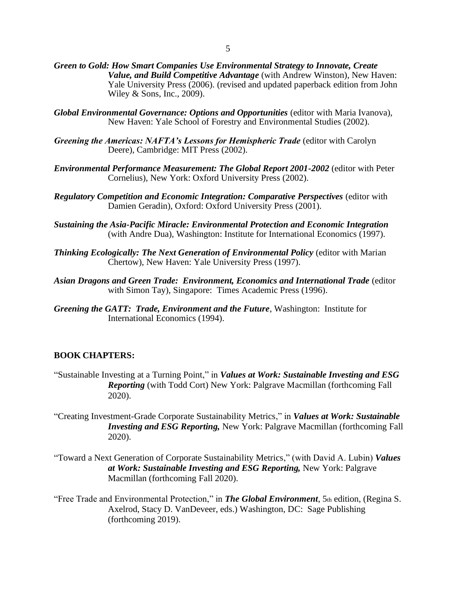- *Green to Gold: How Smart Companies Use Environmental Strategy to Innovate, Create Value, and Build Competitive Advantage* (with Andrew Winston), New Haven: Yale University Press (2006). (revised and updated paperback edition from John Wiley & Sons, Inc., 2009).
- *Global Environmental Governance: Options and Opportunities* (editor with Maria Ivanova), New Haven: Yale School of Forestry and Environmental Studies (2002).
- *Greening the Americas: NAFTA's Lessons for Hemispheric Trade* (editor with Carolyn Deere), Cambridge: MIT Press (2002).
- *Environmental Performance Measurement: The Global Report 2001-2002* (editor with Peter Cornelius), New York: Oxford University Press (2002).
- *Regulatory Competition and Economic Integration: Comparative Perspectives* (editor with Damien Geradin), Oxford: Oxford University Press (2001).
- *Sustaining the Asia-Pacific Miracle: Environmental Protection and Economic Integration* (with Andre Dua), Washington: Institute for International Economics (1997).
- *Thinking Ecologically: The Next Generation of Environmental Policy* (editor with Marian Chertow), New Haven: Yale University Press (1997).
- *Asian Dragons and Green Trade: Environment, Economics and International Trade* (editor with Simon Tay), Singapore: Times Academic Press (1996).
- *Greening the GATT: Trade, Environment and the Future*, Washington: Institute for International Economics (1994).

## **BOOK CHAPTERS:**

- "Sustainable Investing at a Turning Point," in *Values at Work: Sustainable Investing and ESG Reporting* (with Todd Cort) New York: Palgrave Macmillan (forthcoming Fall 2020).
- "Creating Investment-Grade Corporate Sustainability Metrics," in *Values at Work: Sustainable Investing and ESG Reporting,* New York: Palgrave Macmillan (forthcoming Fall 2020).
- "Toward a Next Generation of Corporate Sustainability Metrics," (with David A. Lubin) *Values at Work: Sustainable Investing and ESG Reporting,* New York: Palgrave Macmillan (forthcoming Fall 2020).
- "Free Trade and Environmental Protection," in *The Global Environment*, 5th edition, (Regina S. Axelrod, Stacy D. VanDeveer, eds.) Washington, DC: Sage Publishing (forthcoming 2019).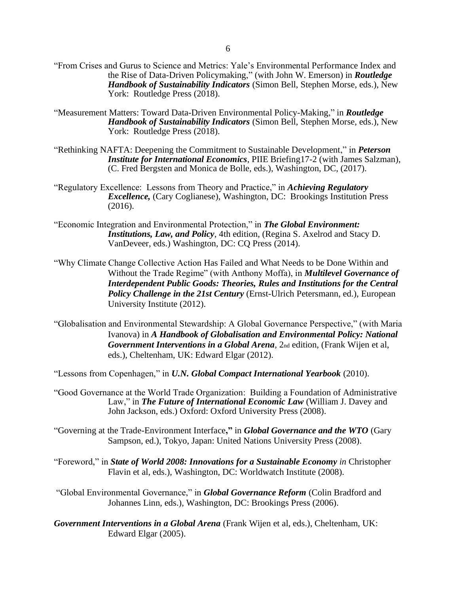- "From Crises and Gurus to Science and Metrics: Yale's Environmental Performance Index and the Rise of Data-Driven Policymaking," (with John W. Emerson) in *Routledge Handbook of Sustainability Indicators* (Simon Bell, Stephen Morse, eds.), New York: Routledge Press (2018).
- "Measurement Matters: Toward Data-Driven Environmental Policy-Making," in *Routledge Handbook of Sustainability Indicators* (Simon Bell, Stephen Morse, eds.), New York: Routledge Press (2018).
- "Rethinking NAFTA: Deepening the Commitment to Sustainable Development," in *Peterson Institute for International Economics*, PIIE Briefing17-2 (with James Salzman), (C. Fred Bergsten and Monica de Bolle, eds.), Washington, DC, (2017).
- "Regulatory Excellence: Lessons from Theory and Practice," in *Achieving Regulatory Excellence,* (Cary Coglianese), Washington, DC: Brookings Institution Press (2016).
- "Economic Integration and Environmental Protection," in *The Global Environment: Institutions, Law, and Policy*, 4th edition, (Regina S. Axelrod and Stacy D. VanDeveer, eds.) Washington, DC: CQ Press (2014).
- "Why Climate Change Collective Action Has Failed and What Needs to be Done Within and Without the Trade Regime" (with Anthony Moffa), in *Multilevel Governance of Interdependent Public Goods: Theories, Rules and Institutions for the Central Policy Challenge in the 21st Century* (Ernst-Ulrich Petersmann, ed.), European University Institute (2012).
- "Globalisation and Environmental Stewardship: A Global Governance Perspective," (with Maria Ivanova) in *A Handbook of Globalisation and Environmental Policy: National Government Interventions in a Global Arena*, 2nd edition, (Frank Wijen et al, eds.), Cheltenham, UK: Edward Elgar (2012).
- "Lessons from Copenhagen," in *U.N. Global Compact International Yearbook* (2010).
- "Good Governance at the World Trade Organization: Building a Foundation of Administrative Law," in *The Future of International Economic Law* (William J. Davey and John Jackson, eds.) Oxford: Oxford University Press (2008).
- "Governing at the Trade-Environment Interface**,"** in *Global Governance and the WTO* (Gary Sampson, ed.), Tokyo, Japan: United Nations University Press (2008).
- "Foreword," in *State of World 2008: Innovations for a Sustainable Economy in* Christopher Flavin et al, eds.), Washington, DC: Worldwatch Institute (2008).
- "Global Environmental Governance," in *Global Governance Reform* (Colin Bradford and Johannes Linn, eds.), Washington, DC: Brookings Press (2006).
- *Government Interventions in a Global Arena* (Frank Wijen et al, eds.), Cheltenham, UK: Edward Elgar (2005).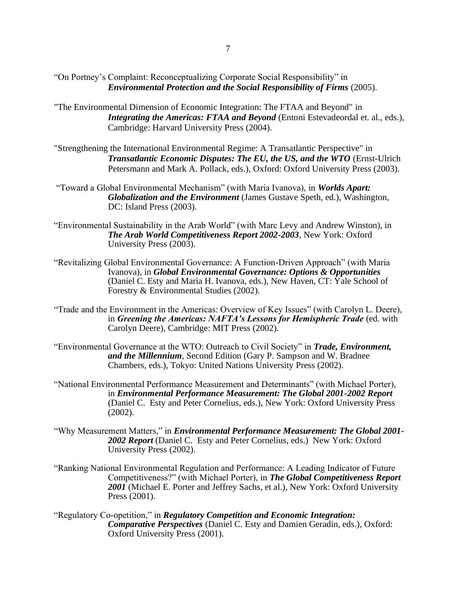- "The Environmental Dimension of Economic Integration: The FTAA and Beyond" in *Integrating the Americas: FTAA and Beyond* (Entoni Estevadeordal et. al., eds.), Cambridge: Harvard University Press (2004).
- ["Strengthening the International Environmental Regime: A Transatlantic Perspective"](http://www.yale.edu/envirocenter/strengthening.transatlantic.pdf) in *Transatlantic Economic Disputes: The EU, the US, and the WTO* (Ernst-Ulrich Petersmann and Mark A. Pollack, eds.), Oxford: Oxford University Press (2003).
- "Toward a Global Environmental Mechanism" (with Maria Ivanova), in *Worlds Apart: Globalization and the Environment* (James Gustave Speth, ed.), Washington, DC: Island Press (2003).
- "Environmental Sustainability in the Arab World" (with Marc Levy and Andrew Winston), in *The Arab World Competitiveness Report 2002-2003*, New York: Oxford University Press (2003).
- "Revitalizing Global Environmental Governance: A Function-Driven Approach" (with Maria Ivanova), in *Global Environmental Governance: Options & Opportunities* (Daniel C. Esty and Maria H. Ivanova, eds.), New Haven, CT: Yale School of Forestry & Environmental Studies (2002).
- "Trade and the Environment in the Americas: Overview of Key Issues" (with Carolyn L. Deere), in *Greening the Americas: NAFTA's Lessons for Hemispheric Trade* (ed. with Carolyn Deere), Cambridge: MIT Press (2002).
- "Environmental Governance at the WTO: Outreach to Civil Society" in *Trade, Environment, and the Millennium*, Second Edition (Gary P. Sampson and W. Bradnee Chambers, eds.), Tokyo: United Nations University Press (2002).
- "National Environmental Performance Measurement and Determinants" (with Michael Porter), in *Environmental Performance Measurement: The Global 2001-2002 Report*  (Daniel C. Esty and Peter Cornelius, eds.), New York: Oxford University Press (2002).
- "Why Measurement Matters," in *Environmental Performance Measurement: The Global 2001- 2002 Report* (Daniel C. Esty and Peter Cornelius, eds.) New York: Oxford University Press (2002).
- "Ranking National Environmental Regulation and Performance: A Leading Indicator of Future Competitiveness?" (with Michael Porter), in *The Global Competitiveness Report 2001* (Michael E. Porter and Jeffrey Sachs, et al.), New York: Oxford University Press (2001).
- "Regulatory Co-opetition," in *Regulatory Competition and Economic Integration: Comparative Perspectives* (Daniel C. Esty and Damien Geradin, eds.), Oxford: Oxford University Press (2001).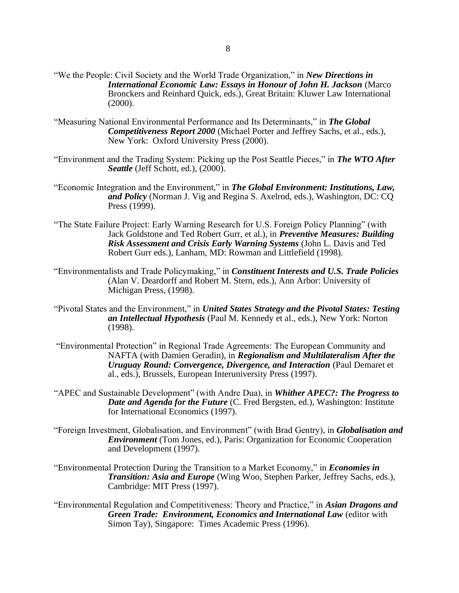- "We the People: Civil Society and the World Trade Organization," in *New Directions in International Economic Law: Essays in Honour of John H. Jackson* (Marco Bronckers and Reinhard Quick, eds.), Great Britain: Kluwer Law International (2000).
- "Measuring National Environmental Performance and Its Determinants," in *The Global Competitiveness Report 2000* (Michael Porter and Jeffrey Sachs, et al., eds.), New York: Oxford University Press (2000).
- "Environment and the Trading System: Picking up the Post Seattle Pieces," in *The WTO After Seattle* (Jeff Schott, ed.), (2000).
- "Economic Integration and the Environment," in *The Global Environment: Institutions, Law, and Policy* (Norman J. Vig and Regina S. Axelrod, eds.), Washington, DC: CQ Press (1999).
- "The State Failure Project: Early Warning Research for U.S. Foreign Policy Planning" (with Jack Goldstone and Ted Robert Gurr, et al.), in *Preventive Measures: Building Risk Assessment and Crisis Early Warning Systems* (John L. Davis and Ted Robert Gurr eds.), Lanham, MD: Rowman and Littlefield (1998).
- "Environmentalists and Trade Policymaking," in *Constituent Interests and U.S. Trade Policies* (Alan V. Deardorff and Robert M. Stern, eds.), Ann Arbor: University of Michigan Press, (1998).
- "Pivotal States and the Environment," in *United States Strategy and the Pivotal States: Testing an Intellectual Hypothesis* (Paul M. Kennedy et al., eds.), New York: Norton (1998).
- "Environmental Protection" in Regional Trade Agreements: The European Community and NAFTA (with Damien Geradin), in *Regionalism and Multilateralism After the Uruguay Round: Convergence, Divergence, and Interaction* (Paul Demaret et al., eds.), Brussels, European Interuniversity Press (1997).
- "APEC and Sustainable Development" (with Andre Dua), in *Whither APEC?: The Progress to Date and Agenda for the Future* (C. Fred Bergsten, ed.), Washington: Institute for International Economics (1997).
- "Foreign Investment, Globalisation, and Environment" (with Brad Gentry), in *Globalisation and Environment* (Tom Jones, ed.), Paris: Organization for Economic Cooperation and Development (1997).
- "Environmental Protection During the Transition to a Market Economy," in *Economies in Transition: Asia and Europe* (Wing Woo, Stephen Parker, Jeffrey Sachs, eds.), Cambridge: MIT Press (1997).
- "Environmental Regulation and Competitiveness: Theory and Practice," in *Asian Dragons and Green Trade: Environment, Economics and International Law* (editor with Simon Tay), Singapore: Times Academic Press (1996).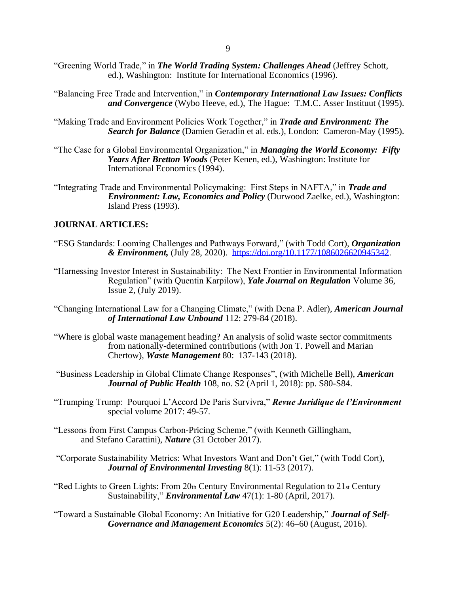- "Greening World Trade," in *The World Trading System: Challenges Ahead* (Jeffrey Schott, ed.), Washington: Institute for International Economics (1996).
- "Balancing Free Trade and Intervention," in *Contemporary International Law Issues: Conflicts and Convergence* (Wybo Heeve, ed.), The Hague: T.M.C. Asser Instituut (1995).
- "Making Trade and Environment Policies Work Together," in *Trade and Environment: The Search for Balance* (Damien Geradin et al. eds.), London: Cameron-May (1995).
- "The Case for a Global Environmental Organization," in *Managing the World Economy: Fifty Years After Bretton Woods* (Peter Kenen, ed.), Washington: Institute for International Economics (1994).
- "Integrating Trade and Environmental Policymaking: First Steps in NAFTA," in *Trade and Environment: Law, Economics and Policy* (Durwood Zaelke, ed.), Washington: Island Press (1993).

## **JOURNAL ARTICLES:**

- "ESG Standards: Looming Challenges and Pathways Forward," (with Todd Cort), *Organization & Environment,* (July 28, 2020). [https://doi.org/10.1177/1086026620945342.](https://doi.org/10.1177/1086026620945342)
- "Harnessing Investor Interest in Sustainability: The Next Frontier in Environmental Information Regulation" (with Quentin Karpilow), *Yale Journal on Regulation* Volume 36, Issue 2, (July 2019).
- "Changing International Law for a Changing Climate," (with Dena P. Adler), *American Journal of International Law Unbound* 112: 279-84 (2018).
- "Where is global waste management heading? An analysis of solid waste sector commitments from nationally-determined contributions (with Jon T. Powell and Marian Chertow), *Waste Management* 80: 137-143 (2018).
- "Business Leadership in Global Climate Change Responses", (with Michelle Bell), *American Journal of Public Health* 108, no. S2 (April 1, 2018): pp. S80-S84.
- "Trumping Trump: Pourquoi L'Accord De Paris Survivra," *Revue Juridique de l'Environment* special volume 2017: 49-57.
- "Lessons from First Campus Carbon-Pricing Scheme," (with Kenneth Gillingham, and Stefano Carattini), *Nature* (31 October 2017).
- "Corporate Sustainability Metrics: What Investors Want and Don't Get," (with Todd Cort), *Journal of Environmental Investing* 8(1): 11-53 (2017).
- "Red Lights to Green Lights: From  $20<sub>th</sub>$  Century Environmental Regulation to  $21<sub>st</sub>$  Century Sustainability," *Environmental Law* 47(1): 1-80 (April, 2017).

"Toward a Sustainable Global Economy: An Initiative for G20 Leadership," *Journal of Self-Governance and Management Economics* 5(2): 46–60 (August, 2016).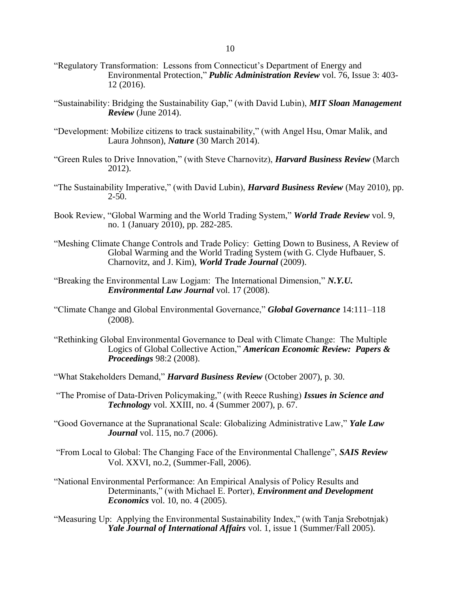- "Regulatory Transformation: Lessons from Connecticut's Department of Energy and Environmental Protection," *Public Administration Review* vol. 76, Issue 3: 403- 12 (2016).
- "Sustainability: Bridging the Sustainability Gap," (with David Lubin), *MIT Sloan Management Review* (June 2014).
- "Development: Mobilize citizens to track sustainability," (with Angel Hsu, Omar Malik, and Laura Johnson), *Nature* (30 March 2014).
- "Green Rules to Drive Innovation," (with Steve Charnovitz), *Harvard Business Review* (March 2012).
- "The Sustainability Imperative," (with David Lubin), *Harvard Business Review* (May 2010), pp.  $2 - 50$ .
- Book Review, "Global Warming and the World Trading System," *World Trade Review* vol. 9, no. 1 (January 2010), pp. 282-285.
- "Meshing Climate Change Controls and Trade Policy: Getting Down to Business, A Review of Global Warming and the World Trading System (with G. Clyde Hufbauer, S. Charnovitz, and J. Kim), *World Trade Journal* (2009).
- "Breaking the Environmental Law Logjam: The International Dimension," *N.Y.U. Environmental Law Journal* vol. 17 (2008).
- "Climate Change and Global Environmental Governance," *Global Governance* 14:111–118 (2008).
- "Rethinking Global Environmental Governance to Deal with Climate Change: The Multiple Logics of Global Collective Action," *American Economic Review: Papers & Proceedings* 98:2 (2008).
- "What Stakeholders Demand," *Harvard Business Review* (October 2007), p. 30.
- "The Promise of Data-Driven Policymaking," (with Reece Rushing) *Issues in Science and Technology* vol. XXIII, no. 4 (Summer 2007), p. 67.
- "Good Governance at the Supranational Scale: Globalizing Administrative Law," *Yale Law Journal* vol. 115, no.7 (2006).
- "From Local to Global: The Changing Face of the Environmental Challenge", *SAIS Review* Vol. XXVI, no.2, (Summer-Fall, 2006).
- "National Environmental Performance: An Empirical Analysis of Policy Results and Determinants," (with Michael E. Porter), *Environment and Development Economics* vol. 10, no. 4 (2005).
- "Measuring Up: Applying the Environmental Sustainability Index," (with Tanja Srebotnjak) *Yale Journal of International Affairs* vol. 1, issue 1 (Summer/Fall 2005).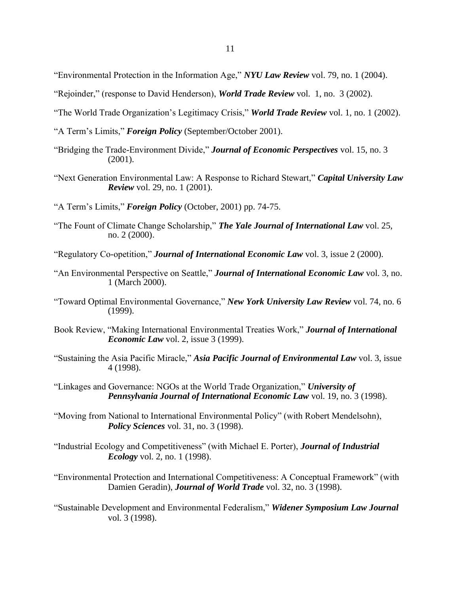- "Environmental Protection in the Information Age," *NYU Law Review* vol. 79, no. 1 (2004).
- "Rejoinder," (response to David Henderson), *World Trade Review* vol. 1, no. 3 (2002).
- "The World Trade Organization's Legitimacy Crisis," *World Trade Review* vol. 1, no. 1 (2002).
- "A Term's Limits," *Foreign Policy* (September/October 2001).
- "Bridging the Trade-Environment Divide," *Journal of Economic Perspectives* vol. 15, no. 3 (2001).
- "Next Generation Environmental Law: A Response to Richard Stewart," *Capital University Law Review* vol. 29, no. 1 (2001).
- "A Term's Limits," *Foreign Policy* (October, 2001) pp. 74-75.
- "The Fount of Climate Change Scholarship," *The Yale Journal of International Law* vol. 25, no. 2 (2000).
- "Regulatory Co-opetition," *Journal of International Economic Law* vol. 3, issue 2 (2000).
- "An Environmental Perspective on Seattle," *Journal of International Economic Law* vol. 3, no. 1 (March 2000).
- "Toward Optimal Environmental Governance," *New York University Law Review* vol. 74, no. 6 (1999).
- Book Review, "Making International Environmental Treaties Work," *Journal of International Economic Law* vol. 2, issue 3 (1999).
- "Sustaining the Asia Pacific Miracle," *Asia Pacific Journal of Environmental Law* vol. 3, issue 4 (1998).
- "Linkages and Governance: NGOs at the World Trade Organization," *University of Pennsylvania Journal of International Economic Law* vol. 19, no. 3 (1998).
- "Moving from National to International Environmental Policy" (with Robert Mendelsohn), *Policy Sciences* vol. 31, no. 3 (1998).
- "Industrial Ecology and Competitiveness" (with Michael E. Porter), *Journal of Industrial Ecology* vol. 2, no. 1 (1998).
- "Environmental Protection and International Competitiveness: A Conceptual Framework" (with Damien Geradin), *Journal of World Trade* vol. 32, no. 3 (1998).
- "Sustainable Development and Environmental Federalism," *Widener Symposium Law Journal* vol. 3 (1998).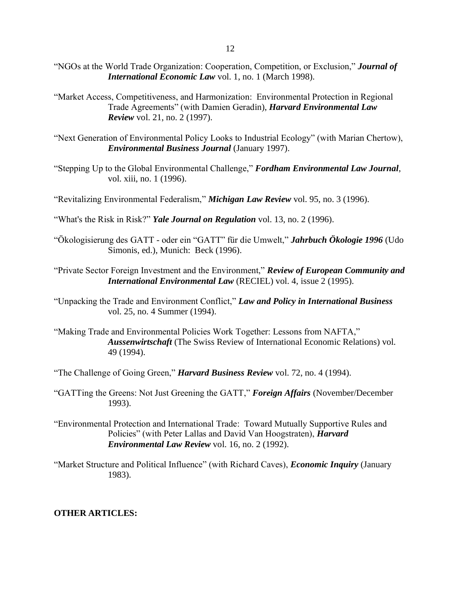- "NGOs at the World Trade Organization: Cooperation, Competition, or Exclusion," *Journal of International Economic Law* vol. 1, no. 1 (March 1998).
- "Market Access, Competitiveness, and Harmonization: Environmental Protection in Regional Trade Agreements" (with Damien Geradin), *Harvard Environmental Law Review* vol. 21, no. 2 (1997).
- "Next Generation of Environmental Policy Looks to Industrial Ecology" (with Marian Chertow), *Environmental Business Journal* (January 1997).
- "Stepping Up to the Global Environmental Challenge," *Fordham Environmental Law Journal*, vol. xiii, no. 1 (1996).
- "Revitalizing Environmental Federalism," *Michigan Law Review* vol. 95, no. 3 (1996).
- "What's the Risk in Risk?" *Yale Journal on Regulation* vol. 13, no. 2 (1996).
- "Ökologisierung des GATT oder ein "GATT" für die Umwelt," *Jahrbuch Ökologie 1996* (Udo Simonis, ed.), Munich: Beck (1996).
- "Private Sector Foreign Investment and the Environment," *Review of European Community and International Environmental Law* (RECIEL) vol. 4, issue 2 (1995).
- "Unpacking the Trade and Environment Conflict," *Law and Policy in International Business* vol. 25, no. 4 Summer (1994).
- "Making Trade and Environmental Policies Work Together: Lessons from NAFTA," *Aussenwirtschaft* (The Swiss Review of International Economic Relations) vol. 49 (1994).
- "The Challenge of Going Green," *Harvard Business Review* vol. 72, no. 4 (1994).
- "GATTing the Greens: Not Just Greening the GATT," *Foreign Affairs* (November/December 1993).
- "Environmental Protection and International Trade: Toward Mutually Supportive Rules and Policies" (with Peter Lallas and David Van Hoogstraten), *Harvard Environmental Law Review* vol. 16, no. 2 (1992).
- "Market Structure and Political Influence" (with Richard Caves), *Economic Inquiry* (January 1983).

# **OTHER ARTICLES:**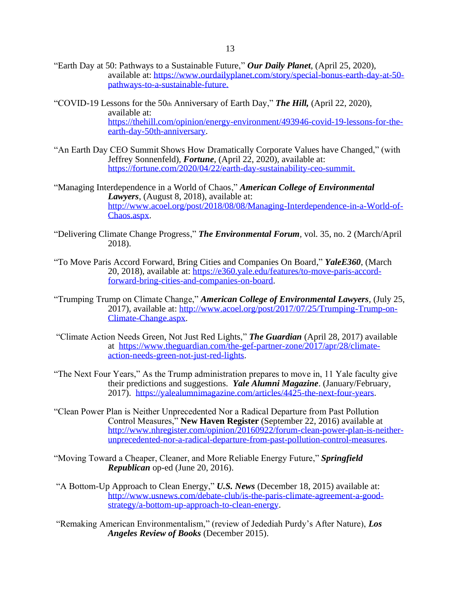- "Earth Day at 50: Pathways to a Sustainable Future," *Our Daily Planet*, (April 25, 2020), available at: https://www.ourdailyplanet.com/story/special-bonus-earth-day-at-50 pathways-to-a-sustainable-future.
- "COVID-19 Lessons for the 50th Anniversary of Earth Day," *The Hill,* (April 22, 2020), available at: [https://thehill.com/opinion/energy-environment/493946-covid-19-lessons-for-the](https://thehill.com/opinion/energy-environment/493946-covid-19-lessons-for-the-earth-day-50th-anniversary)[earth-day-50th-anniversary.](https://thehill.com/opinion/energy-environment/493946-covid-19-lessons-for-the-earth-day-50th-anniversary)
- "An Earth Day CEO Summit Shows How Dramatically Corporate Values have Changed," (with Jeffrey Sonnenfeld), *Fortune*, (April 22, 2020), available at: https://fortune.com/2020/04/22/earth-day-sustainability-ceo-summit.
- "Managing Interdependence in a World of Chaos," *American College of Environmental Lawyers*, (August 8, 2018), available at: [http://www.acoel.org/post/2018/08/08/Managing-Interdependence-in-a-World-of-](http://www.acoel.org/post/2018/08/08/Managing-Interdependence-in-a-World-of-Chaos.aspx)[Chaos.aspx.](http://www.acoel.org/post/2018/08/08/Managing-Interdependence-in-a-World-of-Chaos.aspx)
- "Delivering Climate Change Progress," *The Environmental Forum,* vol. 35, no. 2 (March/April 2018).
- "To Move Paris Accord Forward, Bring Cities and Companies On Board," *YaleE360*, (March 20, 2018), available at: [https://e360.yale.edu/features/to-move-paris-accord](https://e360.yale.edu/features/to-move-paris-accord-forward-bring-cities-and-companies-on-board)[forward-bring-cities-and-companies-on-board.](https://e360.yale.edu/features/to-move-paris-accord-forward-bring-cities-and-companies-on-board)
- "Trumping Trump on Climate Change," *American College of Environmental Lawyers*, (July 25, 2017), available at: [http://www.acoel.org/post/2017/07/25/Trumping-Trump-on-](http://www.acoel.org/post/2017/07/25/Trumping-Trump-on-Climate-Change.aspx)[Climate-Change.aspx.](http://www.acoel.org/post/2017/07/25/Trumping-Trump-on-Climate-Change.aspx)
- "Climate Action Needs Green, Not Just Red Lights," *The Guardian* (April 28, 2017) available at [https://www.theguardian.com/the-gef-partner-zone/2017/apr/28/climate](https://www.theguardian.com/the-gef-partner-zone/2017/apr/28/climate-action-needs-green-not-just-red-lights)[action-needs-green-not-just-red-lights.](https://www.theguardian.com/the-gef-partner-zone/2017/apr/28/climate-action-needs-green-not-just-red-lights)
- "The Next Four Years," As the Trump administration prepares to move in, 11 Yale faculty give their predictions and suggestions. *Yale Alumni Magazine*. (January/February, 2017). [https://yalealumnimagazine.com/articles/4425-the-next-four-years.](https://yalealumnimagazine.com/articles/4425-the-next-four-years)
- "Clean Power Plan is Neither Unprecedented Nor a Radical Departure from Past Pollution Control Measures," **New Haven Register** (September 22, 2016) available at [http://www.nhregister.com/opinion/20160922/forum-clean-power-plan-is-neither](http://www.nhregister.com/opinion/20160922/forum-clean-power-plan-is-neither-unprecedented-nor-a-radical-departure-from-past-pollution-control-measures)[unprecedented-nor-a-radical-departure-from-past-pollution-control-measures.](http://www.nhregister.com/opinion/20160922/forum-clean-power-plan-is-neither-unprecedented-nor-a-radical-departure-from-past-pollution-control-measures)
- "Moving Toward a Cheaper, Cleaner, and More Reliable Energy Future," *Springfield Republican* op-ed (June 20, 2016).
- "A Bottom-Up Approach to Clean Energy," *U.S. News* (December 18, 2015) available at: [http://www.usnews.com/debate-club/is-the-paris-climate-agreement-a-good](http://www.usnews.com/debate-club/is-the-paris-climate-agreement-a-good-strategy/a-bottom-up-approach-to-clean-energy)[strategy/a-bottom-up-approach-to-clean-energy.](http://www.usnews.com/debate-club/is-the-paris-climate-agreement-a-good-strategy/a-bottom-up-approach-to-clean-energy)
- "Remaking American Environmentalism," (review of Jedediah Purdy's After Nature), *Los Angeles Review of Books* (December 2015).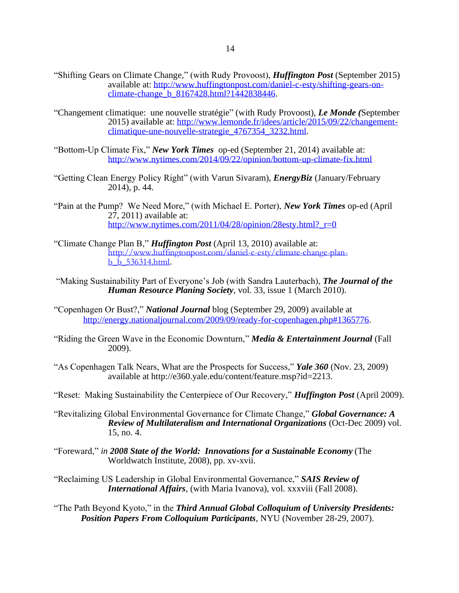- "Shifting Gears on Climate Change," (with Rudy Provoost), *Huffington Post* (September 2015) available at: [http://www.huffingtonpost.com/daniel-c-esty/shifting-gears-on](http://www.huffingtonpost.com/daniel-c-esty/shifting-gears-on-climate-change_b_8167428.html?1442838446)climate-change b 8167428.html?1442838446.
- "Changement climatique: une nouvelle stratégie" (with Rudy Provoost), *Le Monde (*September 2015) available at: [http://www.lemonde.fr/idees/article/2015/09/22/changement](http://www.lemonde.fr/idees/article/2015/09/22/changement-climatique-une-nouvelle-strategie_4767354_3232.html)[climatique-une-nouvelle-strategie\\_4767354\\_3232.html.](http://www.lemonde.fr/idees/article/2015/09/22/changement-climatique-une-nouvelle-strategie_4767354_3232.html)
- "Bottom-Up Climate Fix," *New York Times* op-ed (September 21, 2014) available at: <http://www.nytimes.com/2014/09/22/opinion/bottom-up-climate-fix.html>
- "Getting Clean Energy Policy Right" (with Varun Sivaram), *EnergyBiz* (January/February 2014), p. 44.
- "Pain at the Pump? We Need More," (with Michael E. Porter), *New York Times* op-ed (April 27, 2011) available at: [http://www.nytimes.com/2011/04/28/opinion/28esty.html?\\_r=0](http://www.nytimes.com/2011/04/28/opinion/28esty.html?_r=0)
- "Climate Change Plan B," *Huffington Post* (April 13, 2010) available at: [http://www.huffingtonpost.com/daniel-c-esty/climate-change-plan](http://www.huffingtonpost.com/daniel-c-esty/climate-change-plan-b_b_536314.html)[b\\_b\\_536314.html](http://www.huffingtonpost.com/daniel-c-esty/climate-change-plan-b_b_536314.html).
- "Making Sustainability Part of Everyone's Job (with Sandra Lauterbach), *The Journal of the Human Resource Planing Society*, vol. 33, issue 1 (March 2010).
- "Copenhagen Or Bust?," *National Journal* blog (September 29, 2009) available at [http://energy.nationaljournal.com/2009/09/ready-for-copenhagen.php#1365776.](http://energy.nationaljournal.com/2009/09/ready-for-copenhagen.php#1365776)
- "Riding the Green Wave in the Economic Downturn," *Media & Entertainment Journal* (Fall 2009).
- "As Copenhagen Talk Nears, What are the Prospects for Success," *Yale 360* (Nov. 23, 2009) available at http://e360.yale.edu/content/feature.msp?id=2213.
- "Reset: Making Sustainability the Centerpiece of Our Recovery," *Huffington Post* (April 2009).
- "Revitalizing Global Environmental Governance for Climate Change," *Global Governance: A Review of Multilateralism and International Organizations* (Oct-Dec 2009) vol. 15, no. 4.
- "Foreward," *in 2008 State of the World: Innovations for a Sustainable Economy* (The Worldwatch Institute, 2008), pp. xv-xvii.

"Reclaiming US Leadership in Global Environmental Governance," *SAIS Review of International Affairs*, (with Maria Ivanova), vol. xxxviii (Fall 2008).

"The Path Beyond Kyoto," in the *Third Annual Global Colloquium of University Presidents: Position Papers From Colloquium Participants*, NYU (November 28-29, 2007).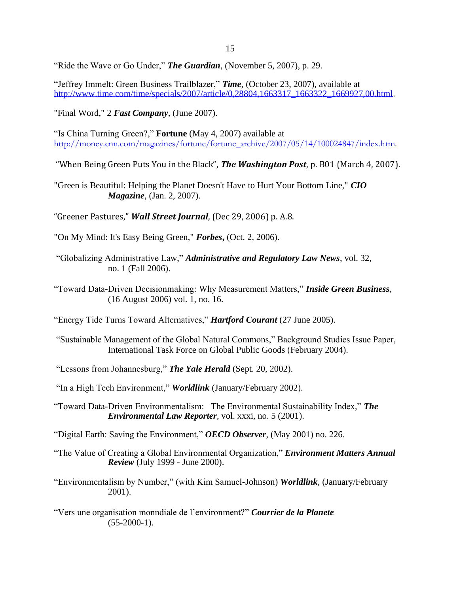"Ride the Wave or Go Under," *The Guardian*, (November 5, 2007), p. 29.

"Jeffrey Immelt: Green Business Trailblazer," *Time*, (October 23, 2007), available at [http://www.time.com/time/specials/2007/article/0,28804,1663317\\_1663322\\_1669927,00.html.](http://www.time.com/time/specials/2007/article/0,28804,1663317_1663322_1669927,00.html)

"Final Word," 2 *Fast Company*, (June 2007).

"Is China Turning Green?," **Fortune** (May 4, 2007) available at [http://money.cnn.com/magazines/fortune/fortune\\_archive/2007/05/14/100024847/index.htm.](http://money.cnn.com/magazines/fortune/fortune_archive/2007/05/14/100024847/index.htm)

"When Being Green Puts You in the Black", *The Washington Post*, p. B01 (March 4, 2007).

"Green is Beautiful: Helping the Planet Doesn't Have to Hurt Your Bottom Line," *CIO Magazine*, (Jan. 2, 2007).

"Greener Pastures," *Wall Street Journal*, (Dec 29, 2006) p. A.8.

- "On My Mind: It's Easy Being Green," *Forbes***,** (Oct. 2, 2006).
- "Globalizing Administrative Law," *Administrative and Regulatory Law News*, vol. 32, no. 1 (Fall 2006).
- "Toward Data-Driven Decisionmaking: Why Measurement Matters," *Inside Green Business*, (16 August 2006) vol. 1, no. 16.

"Energy Tide Turns Toward Alternatives," *Hartford Courant* (27 June 2005).

- "Sustainable Management of the Global Natural Commons," Background Studies Issue Paper, International Task Force on Global Public Goods (February 2004).
- "Lessons from Johannesburg," *The Yale Herald* (Sept. 20, 2002).

"In a High Tech Environment," *Worldlink* (January/February 2002).

"Toward Data-Driven Environmentalism: The Environmental Sustainability Index," *The Environmental Law Reporter*, vol. xxxi, no. 5 (2001).

"Digital Earth: Saving the Environment," *OECD Observer*, (May 2001) no. 226.

"The Value of Creating a Global Environmental Organization," *Environment Matters Annual Review* (July 1999 - June 2000).

"Environmentalism by Number," (with Kim Samuel-Johnson) *Worldlink*, (January/February 2001).

"Vers une organisation monndiale de l'environment?" *Courrier de la Planete*  $(55-2000-1)$ .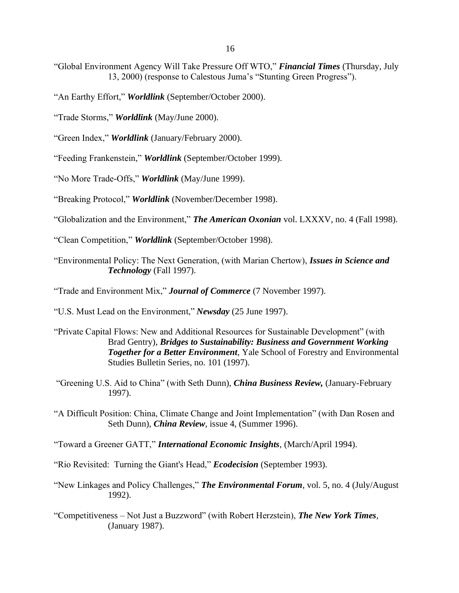- "Global Environment Agency Will Take Pressure Off WTO," *Financial Times* (Thursday, July 13, 2000) (response to Calestous Juma's "Stunting Green Progress").
- "An Earthy Effort," *Worldlink* (September/October 2000).
- "Trade Storms," *Worldlink* (May/June 2000).
- "Green Index," *Worldlink* (January/February 2000).
- "Feeding Frankenstein," *Worldlink* (September/October 1999).
- "No More Trade-Offs," *Worldlink* (May/June 1999).
- "Breaking Protocol," *Worldlink* (November/December 1998).
- "Globalization and the Environment," *The American Oxonian* vol. LXXXV, no. 4 (Fall 1998).
- "Clean Competition," *Worldlink* (September/October 1998).
- "Environmental Policy: The Next Generation, (with Marian Chertow), *Issues in Science and Technology* (Fall 1997).
- "Trade and Environment Mix," *Journal of Commerce* (7 November 1997).
- "U.S. Must Lead on the Environment," *Newsday* (25 June 1997).
- "Private Capital Flows: New and Additional Resources for Sustainable Development" (with Brad Gentry), *Bridges to Sustainability: Business and Government Working Together for a Better Environment*, Yale School of Forestry and Environmental Studies Bulletin Series, no. 101 (1997).
- "Greening U.S. Aid to China" (with Seth Dunn), *China Business Review,* (January-February 1997).
- "A Difficult Position: China, Climate Change and Joint Implementation" (with Dan Rosen and Seth Dunn), *China Review*, issue 4, (Summer 1996).
- "Toward a Greener GATT," *International Economic Insights*, (March/April 1994).
- "Rio Revisited: Turning the Giant's Head," *Ecodecision* (September 1993).
- "New Linkages and Policy Challenges," *The Environmental Forum*, vol. 5, no. 4 (July/August 1992).
- "Competitiveness Not Just a Buzzword" (with Robert Herzstein), *The New York Times*, (January 1987).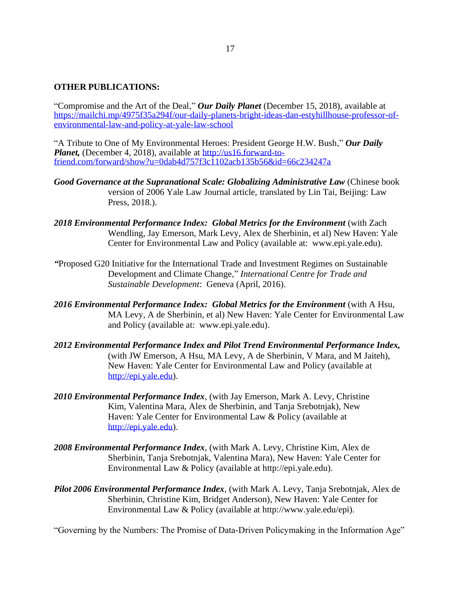# **OTHER PUBLICATIONS:**

"Compromise and the Art of the Deal," *Our Daily Planet* (December 15, 2018), available at [https://mailchi.mp/4975f35a294f/our-daily-planets-bright-ideas-dan-estyhillhouse-professor-of](https://mailchi.mp/4975f35a294f/our-daily-planets-bright-ideas-dan-estyhillhouse-professor-of-environmental-law-and-policy-at-yale-law-school)[environmental-law-and-policy-at-yale-law-school](https://mailchi.mp/4975f35a294f/our-daily-planets-bright-ideas-dan-estyhillhouse-professor-of-environmental-law-and-policy-at-yale-law-school)

"A Tribute to One of My Environmental Heroes: President George H.W. Bush," *Our Daily Planet,* (December 4, 2018), available at [http://us16.forward-to](http://us16.forward-to-friend.com/forward/show?u=0dab4d757f3c1102acb135b56&id=66c234247a)[friend.com/forward/show?u=0dab4d757f3c1102acb135b56&id=66c234247a](http://us16.forward-to-friend.com/forward/show?u=0dab4d757f3c1102acb135b56&id=66c234247a)

- *Good Governance at the Supranational Scale: Globalizing Administrative Law* (Chinese book version of 2006 Yale Law Journal article, translated by Lin Tai, Beijing: Law Press, 2018.).
- 2018 Environmental Performance Index: Global Metrics for the Environment (with Zach Wendling, Jay Emerson, Mark Levy, Alex de Sherbinin, et al) New Haven: Yale Center for Environmental Law and Policy (available at: www.epi.yale.edu).
- *"*Proposed G20 Initiative for the International Trade and Investment Regimes on Sustainable Development and Climate Change," *International Centre for Trade and Sustainable Development*: Geneva (April, 2016).
- 2016 Environmental Performance Index: Global Metrics for the Environment (with A Hsu, MA Levy, A de Sherbinin, et al) New Haven: Yale Center for Environmental Law and Policy (available at: www.epi.yale.edu).
- *2012 Environmental Performance Index and Pilot Trend Environmental Performance Index,* (with JW Emerson, A Hsu, MA Levy, A de Sherbinin, V Mara, and M Jaiteh), New Haven: Yale Center for Environmental Law and Policy (available at [http://epi.yale.edu\)](http://epi.yale.edu/).
- *2010 Environmental Performance Index*, (with Jay Emerson, Mark A. Levy, Christine Kim, Valentina Mara, Alex de Sherbinin, and Tanja Srebotnjak), New Haven: Yale Center for Environmental Law & Policy (available at [http://epi.yale.edu\)](http://epi.yale.edu/).
- *2008 Environmental Performance Index*, (with Mark A. Levy, Christine Kim, Alex de Sherbinin, Tanja Srebotnjak, Valentina Mara), New Haven: Yale Center for Environmental Law & Policy (available at http://epi.yale.edu).
- *Pilot 2006 Environmental Performance Index*, (with Mark A. Levy, Tanja Srebotnjak, Alex de Sherbinin, Christine Kim, Bridget Anderson), New Haven: Yale Center for Environmental Law & Policy (available at http://www.yale.edu/epi).

"Governing by the Numbers: The Promise of Data-Driven Policymaking in the Information Age"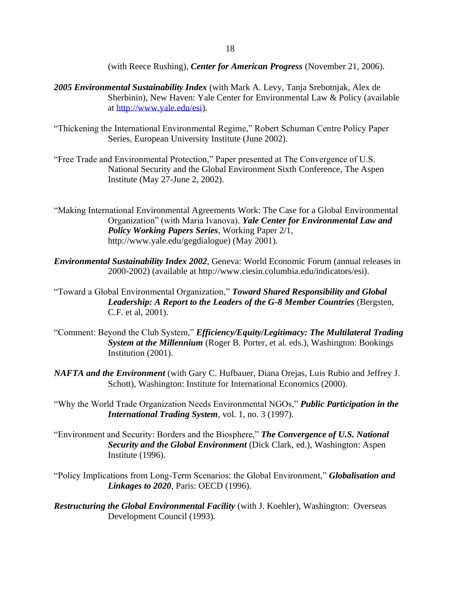(with Reece Rushing), *Center for American Progress* (November 21, 2006).

- *2005 Environmental Sustainability Index* (with Mark A. Levy, Tanja Srebotnjak, Alex de Sherbinin), New Haven: Yale Center for Environmental Law & Policy (available at [http://www.yale.edu/esi\)](http://www.yale.edu/esi).
- "Thickening the International Environmental Regime," Robert Schuman Centre Policy Paper Series, European University Institute (June 2002).
- "Free Trade and Environmental Protection," Paper presented at The Convergence of U.S. National Security and the Global Environment Sixth Conference, The Aspen Institute (May 27-June 2, 2002).
- "Making International Environmental Agreements Work: The Case for a Global Environmental Organization" (with Maria Ivanova). *Yale Center for Environmental Law and Policy Working Papers Series*, Working Paper 2/1, http://www.yale.edu/gegdialogue) (May 2001).
- *Environmental Sustainability Index 2002*, Geneva: World Economic Forum (annual releases in 2000-2002) (available at http://www.ciesin.columbia.edu/indicators/esi).
- "Toward a Global Environmental Organization," *Toward Shared Responsibility and Global Leadership: A Report to the Leaders of the G-8 Member Countries* (Bergsten, C.F. et al, 2001).
- "Comment: Beyond the Club System," *Efficiency/Equity/Legitimacy: The Multilateral Trading System at the Millennium* (Roger B. Porter, et al. eds.), Washington: Bookings Institution (2001).
- *NAFTA and the Environment* (with Gary C. Hufbauer, Diana Orejas, Luis Rubio and Jeffrey J. Schott), Washington: Institute for International Economics (2000).
- "Why the World Trade Organization Needs Environmental NGOs," *Public Participation in the International Trading System*, vol. 1, no. 3 (1997).
- "Environment and Security: Borders and the Biosphere," *The Convergence of U.S. National Security and the Global Environment* (Dick Clark, ed.), Washington: Aspen Institute (1996).
- "Policy Implications from Long-Term Scenarios: the Global Environment," *Globalisation and Linkages to 2020*, Paris: OECD (1996).
- *Restructuring the Global Environmental Facility* (with J. Koehler), Washington: Overseas Development Council (1993).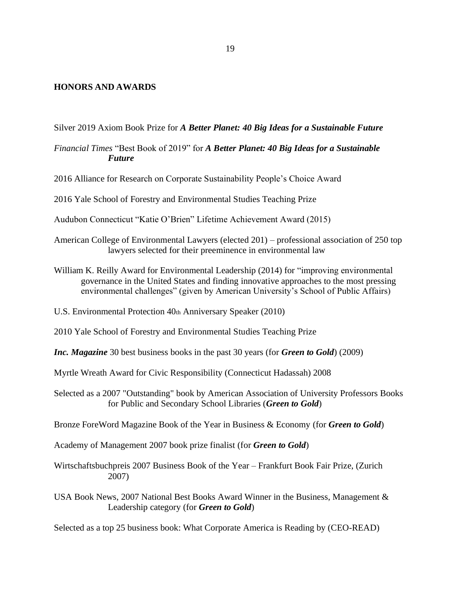## **HONORS AND AWARDS**

Silver 2019 Axiom Book Prize for *A Better Planet: 40 Big Ideas for a Sustainable Future*

*Financial Times* "Best Book of 2019" for *A Better Planet: 40 Big Ideas for a Sustainable Future*

2016 Alliance for Research on Corporate Sustainability People's Choice Award

2016 Yale School of Forestry and Environmental Studies Teaching Prize

Audubon Connecticut "Katie O'Brien" Lifetime Achievement Award (2015)

- American College of Environmental Lawyers (elected 201) professional association of 250 top lawyers selected for their preeminence in environmental law
- William K. Reilly Award for Environmental Leadership (2014) for "improving environmental governance in the United States and finding innovative approaches to the most pressing environmental challenges" (given by American University's School of Public Affairs)

U.S. Environmental Protection 40th Anniversary Speaker (2010)

2010 Yale School of Forestry and Environmental Studies Teaching Prize

*Inc. Magazine* 30 best business books in the past 30 years (for *Green to Gold*) (2009)

Myrtle Wreath Award for Civic Responsibility (Connecticut Hadassah) 2008

Selected as a 2007 "Outstanding" book by American Association of University Professors Books for Public and Secondary School Libraries (*Green to Gold*)

Bronze ForeWord Magazine Book of the Year in Business & Economy (for *Green to Gold*)

Academy of Management 2007 book prize finalist (for *Green to Gold*)

Wirtschaftsbuchpreis 2007 Business Book of the Year – Frankfurt Book Fair Prize, (Zurich 2007)

USA Book News, 2007 National Best Books Award Winner in the Business, Management & Leadership category (for *Green to Gold*)

Selected as a top 25 business book: What Corporate America is Reading by (CEO-READ)